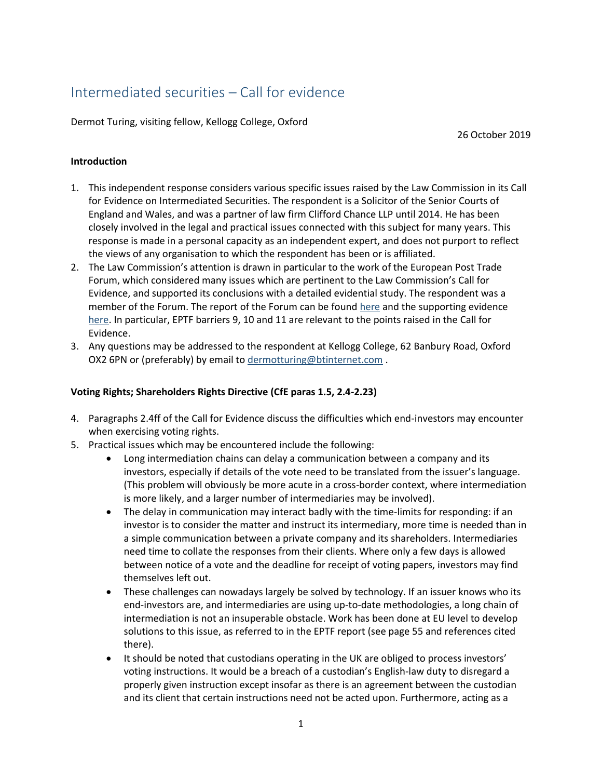# Intermediated securities – Call for evidence

Dermot Turing, visiting fellow, Kellogg College, Oxford

26 October 2019

### **Introduction**

- 1. This independent response considers various specific issues raised by the Law Commission in its Call for Evidence on Intermediated Securities. The respondent is a Solicitor of the Senior Courts of England and Wales, and was a partner of law firm Clifford Chance LLP until 2014. He has been closely involved in the legal and practical issues connected with this subject for many years. This response is made in a personal capacity as an independent expert, and does not purport to reflect the views of any organisation to which the respondent has been or is affiliated.
- 2. The Law Commission's attention is drawn in particular to the work of the European Post Trade Forum, which considered many issues which are pertinent to the Law Commission's Call for Evidence, and supported its conclusions with a detailed evidential study. The respondent was a member of the Forum. The report of the Forum can be found [here](https://ec.europa.eu/info/sites/info/files/170515-eptf-report_en.pdf) and the supporting evidence [here.](https://ec.europa.eu/info/sites/info/files/170515-eptf-report-annex-3_en.pdf) In particular, EPTF barriers 9, 10 and 11 are relevant to the points raised in the Call for Evidence.
- 3. Any questions may be addressed to the respondent at Kellogg College, 62 Banbury Road, Oxford OX2 6PN or (preferably) by email to [dermotturing@btinternet.com](mailto:dermotturing@btinternet.com) .

## **Voting Rights; Shareholders Rights Directive (CfE paras 1.5, 2.4-2.23)**

- 4. Paragraphs 2.4ff of the Call for Evidence discuss the difficulties which end-investors may encounter when exercising voting rights.
- 5. Practical issues which may be encountered include the following:
	- Long intermediation chains can delay a communication between a company and its investors, especially if details of the vote need to be translated from the issuer's language. (This problem will obviously be more acute in a cross-border context, where intermediation is more likely, and a larger number of intermediaries may be involved).
	- The delay in communication may interact badly with the time-limits for responding: if an investor is to consider the matter and instruct its intermediary, more time is needed than in a simple communication between a private company and its shareholders. Intermediaries need time to collate the responses from their clients. Where only a few days is allowed between notice of a vote and the deadline for receipt of voting papers, investors may find themselves left out.
	- These challenges can nowadays largely be solved by technology. If an issuer knows who its end-investors are, and intermediaries are using up-to-date methodologies, a long chain of intermediation is not an insuperable obstacle. Work has been done at EU level to develop solutions to this issue, as referred to in the EPTF report (see page 55 and references cited there).
	- It should be noted that custodians operating in the UK are obliged to process investors' voting instructions. It would be a breach of a custodian's English-law duty to disregard a properly given instruction except insofar as there is an agreement between the custodian and its client that certain instructions need not be acted upon. Furthermore, acting as a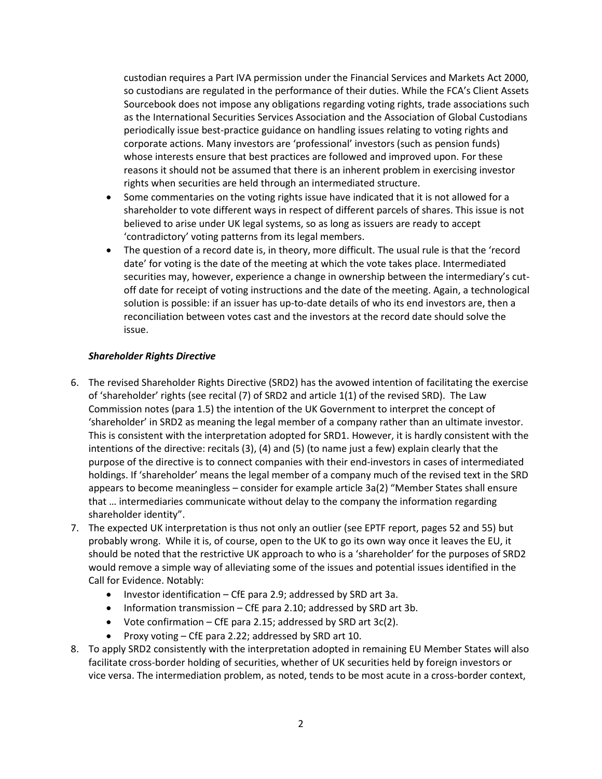custodian requires a Part IVA permission under the Financial Services and Markets Act 2000, so custodians are regulated in the performance of their duties. While the FCA's Client Assets Sourcebook does not impose any obligations regarding voting rights, trade associations such as the International Securities Services Association and the Association of Global Custodians periodically issue best-practice guidance on handling issues relating to voting rights and corporate actions. Many investors are 'professional' investors (such as pension funds) whose interests ensure that best practices are followed and improved upon. For these reasons it should not be assumed that there is an inherent problem in exercising investor rights when securities are held through an intermediated structure.

- Some commentaries on the voting rights issue have indicated that it is not allowed for a shareholder to vote different ways in respect of different parcels of shares. This issue is not believed to arise under UK legal systems, so as long as issuers are ready to accept 'contradictory' voting patterns from its legal members.
- The question of a record date is, in theory, more difficult. The usual rule is that the 'record date' for voting is the date of the meeting at which the vote takes place. Intermediated securities may, however, experience a change in ownership between the intermediary's cutoff date for receipt of voting instructions and the date of the meeting. Again, a technological solution is possible: if an issuer has up-to-date details of who its end investors are, then a reconciliation between votes cast and the investors at the record date should solve the issue.

## *Shareholder Rights Directive*

- 6. The revised Shareholder Rights Directive (SRD2) has the avowed intention of facilitating the exercise of 'shareholder' rights (see recital (7) of SRD2 and article 1(1) of the revised SRD). The Law Commission notes (para 1.5) the intention of the UK Government to interpret the concept of 'shareholder' in SRD2 as meaning the legal member of a company rather than an ultimate investor. This is consistent with the interpretation adopted for SRD1. However, it is hardly consistent with the intentions of the directive: recitals (3), (4) and (5) (to name just a few) explain clearly that the purpose of the directive is to connect companies with their end-investors in cases of intermediated holdings. If 'shareholder' means the legal member of a company much of the revised text in the SRD appears to become meaningless – consider for example article 3a(2) "Member States shall ensure that … intermediaries communicate without delay to the company the information regarding shareholder identity".
- 7. The expected UK interpretation is thus not only an outlier (see EPTF report, pages 52 and 55) but probably wrong. While it is, of course, open to the UK to go its own way once it leaves the EU, it should be noted that the restrictive UK approach to who is a 'shareholder' for the purposes of SRD2 would remove a simple way of alleviating some of the issues and potential issues identified in the Call for Evidence. Notably:
	- Investor identification CfE para 2.9; addressed by SRD art 3a.
	- Information transmission CfE para 2.10; addressed by SRD art 3b.
	- Vote confirmation CfE para 2.15; addressed by SRD art  $3c(2)$ .
	- Proxy voting CfE para 2.22; addressed by SRD art 10.
- 8. To apply SRD2 consistently with the interpretation adopted in remaining EU Member States will also facilitate cross-border holding of securities, whether of UK securities held by foreign investors or vice versa. The intermediation problem, as noted, tends to be most acute in a cross-border context,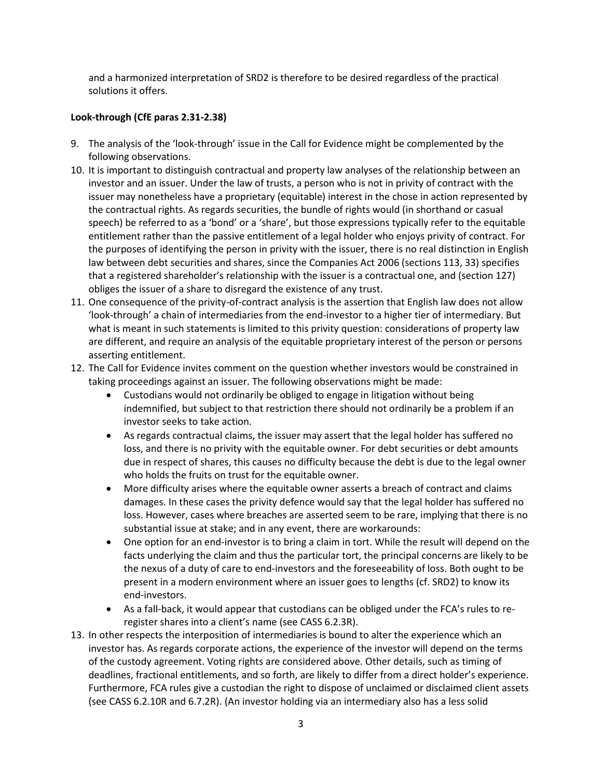and a harmonized interpretation of SRD2 is therefore to be desired regardless of the practical solutions it offers.

## **Look-through (CfE paras 2.31-2.38)**

- 9. The analysis of the 'look-through' issue in the Call for Evidence might be complemented by the following observations.
- 10. It is important to distinguish contractual and property law analyses of the relationship between an investor and an issuer. Under the law of trusts, a person who is not in privity of contract with the issuer may nonetheless have a proprietary (equitable) interest in the chose in action represented by the contractual rights. As regards securities, the bundle of rights would (in shorthand or casual speech) be referred to as a 'bond' or a 'share', but those expressions typically refer to the equitable entitlement rather than the passive entitlement of a legal holder who enjoys privity of contract. For the purposes of identifying the person in privity with the issuer, there is no real distinction in English law between debt securities and shares, since the Companies Act 2006 (sections 113, 33) specifies that a registered shareholder's relationship with the issuer is a contractual one, and (section 127) obliges the issuer of a share to disregard the existence of any trust.
- 11. One consequence of the privity-of-contract analysis is the assertion that English law does not allow 'look-through' a chain of intermediaries from the end-investor to a higher tier of intermediary. But what is meant in such statements is limited to this privity question: considerations of property law are different, and require an analysis of the equitable proprietary interest of the person or persons asserting entitlement.
- 12. The Call for Evidence invites comment on the question whether investors would be constrained in taking proceedings against an issuer. The following observations might be made:
	- Custodians would not ordinarily be obliged to engage in litigation without being indemnified, but subject to that restriction there should not ordinarily be a problem if an investor seeks to take action.
	- As regards contractual claims, the issuer may assert that the legal holder has suffered no loss, and there is no privity with the equitable owner. For debt securities or debt amounts due in respect of shares, this causes no difficulty because the debt is due to the legal owner who holds the fruits on trust for the equitable owner.
	- More difficulty arises where the equitable owner asserts a breach of contract and claims damages. In these cases the privity defence would say that the legal holder has suffered no loss. However, cases where breaches are asserted seem to be rare, implying that there is no substantial issue at stake; and in any event, there are workarounds:
	- One option for an end-investor is to bring a claim in tort. While the result will depend on the facts underlying the claim and thus the particular tort, the principal concerns are likely to be the nexus of a duty of care to end-investors and the foreseeability of loss. Both ought to be present in a modern environment where an issuer goes to lengths (cf. SRD2) to know its end-investors.
	- As a fall-back, it would appear that custodians can be obliged under the FCA's rules to reregister shares into a client's name (see CASS 6.2.3R).
- 13. In other respects the interposition of intermediaries is bound to alter the experience which an investor has. As regards corporate actions, the experience of the investor will depend on the terms of the custody agreement. Voting rights are considered above. Other details, such as timing of deadlines, fractional entitlements, and so forth, are likely to differ from a direct holder's experience. Furthermore, FCA rules give a custodian the right to dispose of unclaimed or disclaimed client assets (see CASS 6.2.10R and 6.7.2R). (An investor holding via an intermediary also has a less solid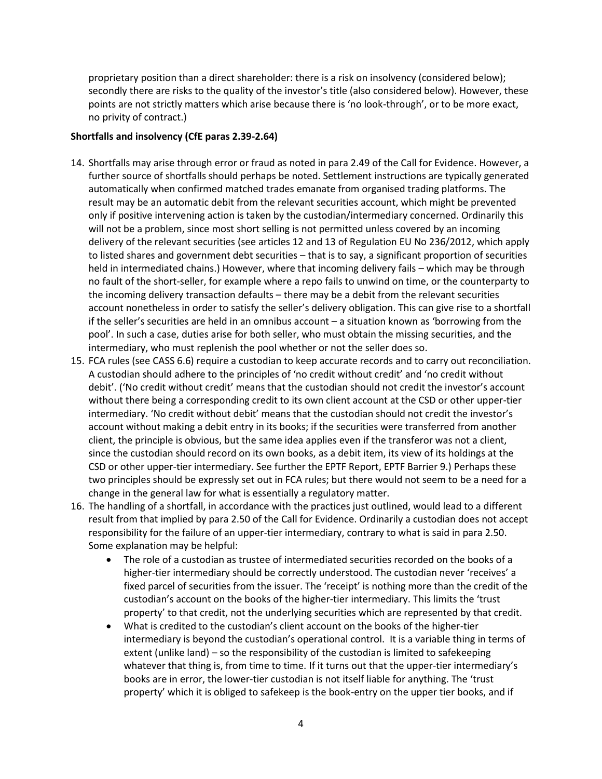proprietary position than a direct shareholder: there is a risk on insolvency (considered below); secondly there are risks to the quality of the investor's title (also considered below). However, these points are not strictly matters which arise because there is 'no look-through', or to be more exact, no privity of contract.)

#### **Shortfalls and insolvency (CfE paras 2.39-2.64)**

- 14. Shortfalls may arise through error or fraud as noted in para 2.49 of the Call for Evidence. However, a further source of shortfalls should perhaps be noted. Settlement instructions are typically generated automatically when confirmed matched trades emanate from organised trading platforms. The result may be an automatic debit from the relevant securities account, which might be prevented only if positive intervening action is taken by the custodian/intermediary concerned. Ordinarily this will not be a problem, since most short selling is not permitted unless covered by an incoming delivery of the relevant securities (see articles 12 and 13 of Regulation EU No 236/2012, which apply to listed shares and government debt securities – that is to say, a significant proportion of securities held in intermediated chains.) However, where that incoming delivery fails – which may be through no fault of the short-seller, for example where a repo fails to unwind on time, or the counterparty to the incoming delivery transaction defaults – there may be a debit from the relevant securities account nonetheless in order to satisfy the seller's delivery obligation. This can give rise to a shortfall if the seller's securities are held in an omnibus account – a situation known as 'borrowing from the pool'. In such a case, duties arise for both seller, who must obtain the missing securities, and the intermediary, who must replenish the pool whether or not the seller does so.
- 15. FCA rules (see CASS 6.6) require a custodian to keep accurate records and to carry out reconciliation. A custodian should adhere to the principles of 'no credit without credit' and 'no credit without debit'. ('No credit without credit' means that the custodian should not credit the investor's account without there being a corresponding credit to its own client account at the CSD or other upper-tier intermediary. 'No credit without debit' means that the custodian should not credit the investor's account without making a debit entry in its books; if the securities were transferred from another client, the principle is obvious, but the same idea applies even if the transferor was not a client, since the custodian should record on its own books, as a debit item, its view of its holdings at the CSD or other upper-tier intermediary. See further the EPTF Report, EPTF Barrier 9.) Perhaps these two principles should be expressly set out in FCA rules; but there would not seem to be a need for a change in the general law for what is essentially a regulatory matter.
- 16. The handling of a shortfall, in accordance with the practices just outlined, would lead to a different result from that implied by para 2.50 of the Call for Evidence. Ordinarily a custodian does not accept responsibility for the failure of an upper-tier intermediary, contrary to what is said in para 2.50. Some explanation may be helpful:
	- The role of a custodian as trustee of intermediated securities recorded on the books of a higher-tier intermediary should be correctly understood. The custodian never 'receives' a fixed parcel of securities from the issuer. The 'receipt' is nothing more than the credit of the custodian's account on the books of the higher-tier intermediary. This limits the 'trust property' to that credit, not the underlying securities which are represented by that credit.
	- What is credited to the custodian's client account on the books of the higher-tier intermediary is beyond the custodian's operational control. It is a variable thing in terms of extent (unlike land) – so the responsibility of the custodian is limited to safekeeping whatever that thing is, from time to time. If it turns out that the upper-tier intermediary's books are in error, the lower-tier custodian is not itself liable for anything. The 'trust property' which it is obliged to safekeep is the book-entry on the upper tier books, and if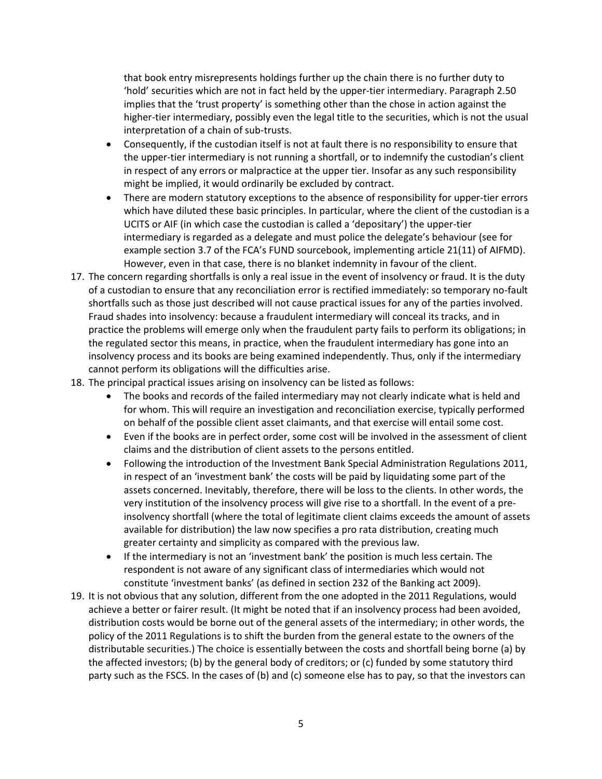that book entry misrepresents holdings further up the chain there is no further duty to 'hold' securities which are not in fact held by the upper-tier intermediary. Paragraph 2.50 implies that the 'trust property' is something other than the chose in action against the higher-tier intermediary, possibly even the legal title to the securities, which is not the usual interpretation of a chain of sub-trusts.

- Consequently, if the custodian itself is not at fault there is no responsibility to ensure that the upper-tier intermediary is not running a shortfall, or to indemnify the custodian's client in respect of any errors or malpractice at the upper tier. Insofar as any such responsibility might be implied, it would ordinarily be excluded by contract.
- There are modern statutory exceptions to the absence of responsibility for upper-tier errors which have diluted these basic principles. In particular, where the client of the custodian is a UCITS or AIF (in which case the custodian is called a 'depositary') the upper-tier intermediary is regarded as a delegate and must police the delegate's behaviour (see for example section 3.7 of the FCA's FUND sourcebook, implementing article 21(11) of AIFMD). However, even in that case, there is no blanket indemnity in favour of the client.
- 17. The concern regarding shortfalls is only a real issue in the event of insolvency or fraud. It is the duty of a custodian to ensure that any reconciliation error is rectified immediately: so temporary no-fault shortfalls such as those just described will not cause practical issues for any of the parties involved. Fraud shades into insolvency: because a fraudulent intermediary will conceal its tracks, and in practice the problems will emerge only when the fraudulent party fails to perform its obligations; in the regulated sector this means, in practice, when the fraudulent intermediary has gone into an insolvency process and its books are being examined independently. Thus, only if the intermediary cannot perform its obligations will the difficulties arise.
- 18. The principal practical issues arising on insolvency can be listed as follows:
	- The books and records of the failed intermediary may not clearly indicate what is held and for whom. This will require an investigation and reconciliation exercise, typically performed on behalf of the possible client asset claimants, and that exercise will entail some cost.
	- Even if the books are in perfect order, some cost will be involved in the assessment of client claims and the distribution of client assets to the persons entitled.
	- Following the introduction of the Investment Bank Special Administration Regulations 2011, in respect of an 'investment bank' the costs will be paid by liquidating some part of the assets concerned. Inevitably, therefore, there will be loss to the clients. In other words, the very institution of the insolvency process will give rise to a shortfall. In the event of a preinsolvency shortfall (where the total of legitimate client claims exceeds the amount of assets available for distribution) the law now specifies a pro rata distribution, creating much greater certainty and simplicity as compared with the previous law.
	- If the intermediary is not an 'investment bank' the position is much less certain. The respondent is not aware of any significant class of intermediaries which would not constitute 'investment banks' (as defined in section 232 of the Banking act 2009).
- 19. It is not obvious that any solution, different from the one adopted in the 2011 Regulations, would achieve a better or fairer result. (It might be noted that if an insolvency process had been avoided, distribution costs would be borne out of the general assets of the intermediary; in other words, the policy of the 2011 Regulations is to shift the burden from the general estate to the owners of the distributable securities.) The choice is essentially between the costs and shortfall being borne (a) by the affected investors; (b) by the general body of creditors; or (c) funded by some statutory third party such as the FSCS. In the cases of (b) and (c) someone else has to pay, so that the investors can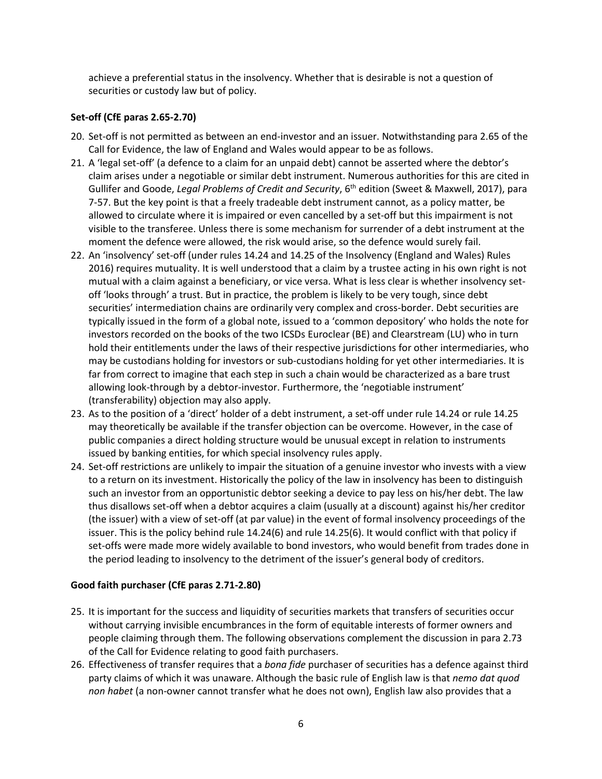achieve a preferential status in the insolvency. Whether that is desirable is not a question of securities or custody law but of policy.

### **Set-off (CfE paras 2.65-2.70)**

- 20. Set-off is not permitted as between an end-investor and an issuer. Notwithstanding para 2.65 of the Call for Evidence, the law of England and Wales would appear to be as follows.
- 21. A 'legal set-off' (a defence to a claim for an unpaid debt) cannot be asserted where the debtor's claim arises under a negotiable or similar debt instrument. Numerous authorities for this are cited in Gullifer and Goode, *Legal Problems of Credit and Security*, 6th edition (Sweet & Maxwell, 2017), para 7-57. But the key point is that a freely tradeable debt instrument cannot, as a policy matter, be allowed to circulate where it is impaired or even cancelled by a set-off but this impairment is not visible to the transferee. Unless there is some mechanism for surrender of a debt instrument at the moment the defence were allowed, the risk would arise, so the defence would surely fail.
- 22. An 'insolvency' set-off (under rules 14.24 and 14.25 of the Insolvency (England and Wales) Rules 2016) requires mutuality. It is well understood that a claim by a trustee acting in his own right is not mutual with a claim against a beneficiary, or vice versa. What is less clear is whether insolvency setoff 'looks through' a trust. But in practice, the problem is likely to be very tough, since debt securities' intermediation chains are ordinarily very complex and cross-border. Debt securities are typically issued in the form of a global note, issued to a 'common depository' who holds the note for investors recorded on the books of the two ICSDs Euroclear (BE) and Clearstream (LU) who in turn hold their entitlements under the laws of their respective jurisdictions for other intermediaries, who may be custodians holding for investors or sub-custodians holding for yet other intermediaries. It is far from correct to imagine that each step in such a chain would be characterized as a bare trust allowing look-through by a debtor-investor. Furthermore, the 'negotiable instrument' (transferability) objection may also apply.
- 23. As to the position of a 'direct' holder of a debt instrument, a set-off under rule 14.24 or rule 14.25 may theoretically be available if the transfer objection can be overcome. However, in the case of public companies a direct holding structure would be unusual except in relation to instruments issued by banking entities, for which special insolvency rules apply.
- 24. Set-off restrictions are unlikely to impair the situation of a genuine investor who invests with a view to a return on its investment. Historically the policy of the law in insolvency has been to distinguish such an investor from an opportunistic debtor seeking a device to pay less on his/her debt. The law thus disallows set-off when a debtor acquires a claim (usually at a discount) against his/her creditor (the issuer) with a view of set-off (at par value) in the event of formal insolvency proceedings of the issuer. This is the policy behind rule 14.24(6) and rule 14.25(6). It would conflict with that policy if set-offs were made more widely available to bond investors, who would benefit from trades done in the period leading to insolvency to the detriment of the issuer's general body of creditors.

# **Good faith purchaser (CfE paras 2.71-2.80)**

- 25. It is important for the success and liquidity of securities markets that transfers of securities occur without carrying invisible encumbrances in the form of equitable interests of former owners and people claiming through them. The following observations complement the discussion in para 2.73 of the Call for Evidence relating to good faith purchasers.
- 26. Effectiveness of transfer requires that a *bona fide* purchaser of securities has a defence against third party claims of which it was unaware. Although the basic rule of English law is that *nemo dat quod non habet* (a non-owner cannot transfer what he does not own), English law also provides that a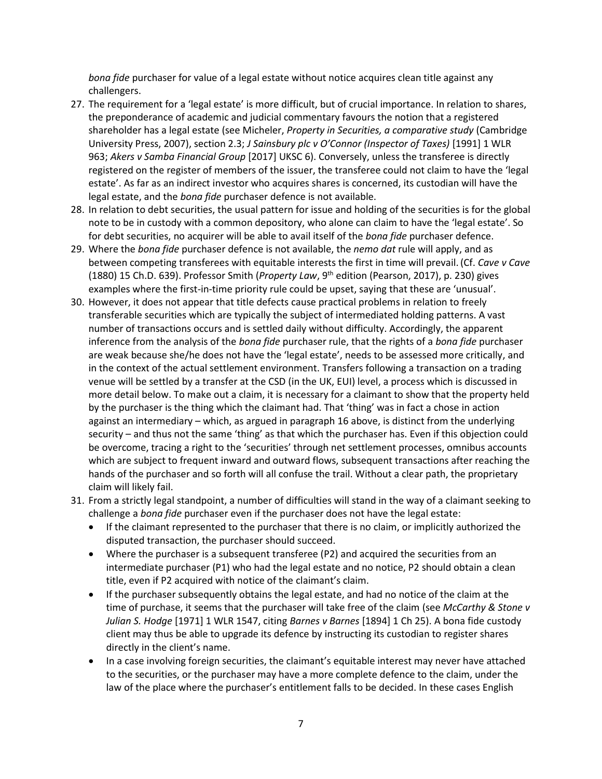*bona fide* purchaser for value of a legal estate without notice acquires clean title against any challengers.

- 27. The requirement for a 'legal estate' is more difficult, but of crucial importance. In relation to shares, the preponderance of academic and judicial commentary favours the notion that a registered shareholder has a legal estate (see Micheler, *Property in Securities, a comparative study* (Cambridge University Press, 2007), section 2.3; *J Sainsbury plc v O'Connor (Inspector of Taxes)* [1991] 1 WLR 963; *Akers v Samba Financial Group* [2017] UKSC 6). Conversely, unless the transferee is directly registered on the register of members of the issuer, the transferee could not claim to have the 'legal estate'. As far as an indirect investor who acquires shares is concerned, its custodian will have the legal estate, and the *bona fide* purchaser defence is not available.
- 28. In relation to debt securities, the usual pattern for issue and holding of the securities is for the global note to be in custody with a common depository, who alone can claim to have the 'legal estate'. So for debt securities, no acquirer will be able to avail itself of the *bona fide* purchaser defence.
- 29. Where the *bona fide* purchaser defence is not available, the *nemo dat* rule will apply, and as between competing transferees with equitable interests the first in time will prevail. (Cf. *Cave v Cave* (1880) 15 Ch.D. 639). Professor Smith (*Property Law*, 9<sup>th</sup> edition (Pearson, 2017), p. 230) gives examples where the first-in-time priority rule could be upset, saying that these are 'unusual'.
- 30. However, it does not appear that title defects cause practical problems in relation to freely transferable securities which are typically the subject of intermediated holding patterns. A vast number of transactions occurs and is settled daily without difficulty. Accordingly, the apparent inference from the analysis of the *bona fide* purchaser rule, that the rights of a *bona fide* purchaser are weak because she/he does not have the 'legal estate', needs to be assessed more critically, and in the context of the actual settlement environment. Transfers following a transaction on a trading venue will be settled by a transfer at the CSD (in the UK, EUI) level, a process which is discussed in more detail below. To make out a claim, it is necessary for a claimant to show that the property held by the purchaser is the thing which the claimant had. That 'thing' was in fact a chose in action against an intermediary – which, as argued in paragraph 16 above, is distinct from the underlying security – and thus not the same 'thing' as that which the purchaser has. Even if this objection could be overcome, tracing a right to the 'securities' through net settlement processes, omnibus accounts which are subject to frequent inward and outward flows, subsequent transactions after reaching the hands of the purchaser and so forth will all confuse the trail. Without a clear path, the proprietary claim will likely fail.
- 31. From a strictly legal standpoint, a number of difficulties will stand in the way of a claimant seeking to challenge a *bona fide* purchaser even if the purchaser does not have the legal estate:
	- If the claimant represented to the purchaser that there is no claim, or implicitly authorized the disputed transaction, the purchaser should succeed.
	- Where the purchaser is a subsequent transferee (P2) and acquired the securities from an intermediate purchaser (P1) who had the legal estate and no notice, P2 should obtain a clean title, even if P2 acquired with notice of the claimant's claim.
	- If the purchaser subsequently obtains the legal estate, and had no notice of the claim at the time of purchase, it seems that the purchaser will take free of the claim (see *McCarthy & Stone v Julian S. Hodge* [1971] 1 WLR 1547, citing *Barnes v Barnes* [1894] 1 Ch 25). A bona fide custody client may thus be able to upgrade its defence by instructing its custodian to register shares directly in the client's name.
	- In a case involving foreign securities, the claimant's equitable interest may never have attached to the securities, or the purchaser may have a more complete defence to the claim, under the law of the place where the purchaser's entitlement falls to be decided. In these cases English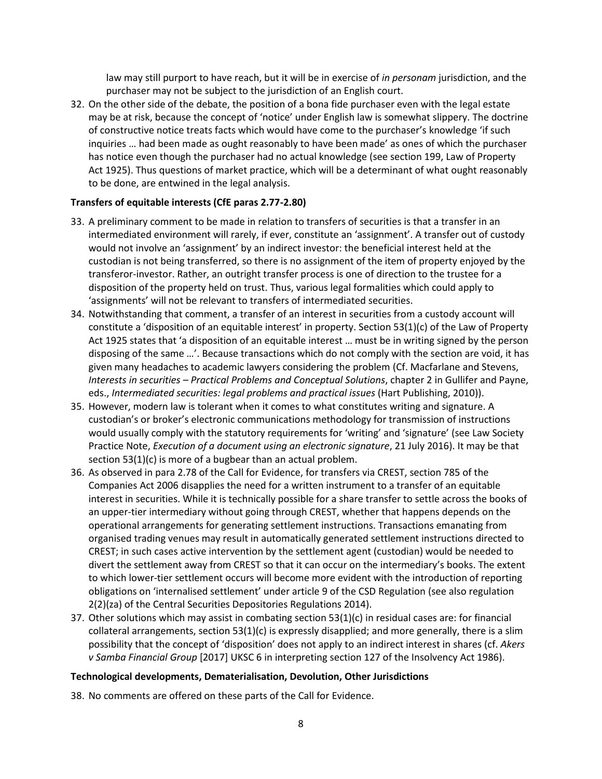law may still purport to have reach, but it will be in exercise of *in personam* jurisdiction, and the purchaser may not be subject to the jurisdiction of an English court.

32. On the other side of the debate, the position of a bona fide purchaser even with the legal estate may be at risk, because the concept of 'notice' under English law is somewhat slippery. The doctrine of constructive notice treats facts which would have come to the purchaser's knowledge 'if such inquiries … had been made as ought reasonably to have been made' as ones of which the purchaser has notice even though the purchaser had no actual knowledge (see section 199, Law of Property Act 1925). Thus questions of market practice, which will be a determinant of what ought reasonably to be done, are entwined in the legal analysis.

#### **Transfers of equitable interests (CfE paras 2.77-2.80)**

- 33. A preliminary comment to be made in relation to transfers of securities is that a transfer in an intermediated environment will rarely, if ever, constitute an 'assignment'. A transfer out of custody would not involve an 'assignment' by an indirect investor: the beneficial interest held at the custodian is not being transferred, so there is no assignment of the item of property enjoyed by the transferor-investor. Rather, an outright transfer process is one of direction to the trustee for a disposition of the property held on trust. Thus, various legal formalities which could apply to 'assignments' will not be relevant to transfers of intermediated securities.
- 34. Notwithstanding that comment, a transfer of an interest in securities from a custody account will constitute a 'disposition of an equitable interest' in property. Section 53(1)(c) of the Law of Property Act 1925 states that 'a disposition of an equitable interest … must be in writing signed by the person disposing of the same …'. Because transactions which do not comply with the section are void, it has given many headaches to academic lawyers considering the problem (Cf. Macfarlane and Stevens, *Interests in securities – Practical Problems and Conceptual Solutions*, chapter 2 in Gullifer and Payne, eds., *Intermediated securities: legal problems and practical issues* (Hart Publishing, 2010)).
- 35. However, modern law is tolerant when it comes to what constitutes writing and signature. A custodian's or broker's electronic communications methodology for transmission of instructions would usually comply with the statutory requirements for 'writing' and 'signature' (see Law Society Practice Note, *Execution of a document using an electronic signature*, 21 July 2016). It may be that section 53(1)(c) is more of a bugbear than an actual problem.
- 36. As observed in para 2.78 of the Call for Evidence, for transfers via CREST, section 785 of the Companies Act 2006 disapplies the need for a written instrument to a transfer of an equitable interest in securities. While it is technically possible for a share transfer to settle across the books of an upper-tier intermediary without going through CREST, whether that happens depends on the operational arrangements for generating settlement instructions. Transactions emanating from organised trading venues may result in automatically generated settlement instructions directed to CREST; in such cases active intervention by the settlement agent (custodian) would be needed to divert the settlement away from CREST so that it can occur on the intermediary's books. The extent to which lower-tier settlement occurs will become more evident with the introduction of reporting obligations on 'internalised settlement' under article 9 of the CSD Regulation (see also regulation 2(2)(za) of the Central Securities Depositories Regulations 2014).
- 37. Other solutions which may assist in combating section 53(1)(c) in residual cases are: for financial collateral arrangements, section 53(1)(c) is expressly disapplied; and more generally, there is a slim possibility that the concept of 'disposition' does not apply to an indirect interest in shares (cf. *Akers v Samba Financial Group* [2017] UKSC 6 in interpreting section 127 of the Insolvency Act 1986).

#### **Technological developments, Dematerialisation, Devolution, Other Jurisdictions**

38. No comments are offered on these parts of the Call for Evidence.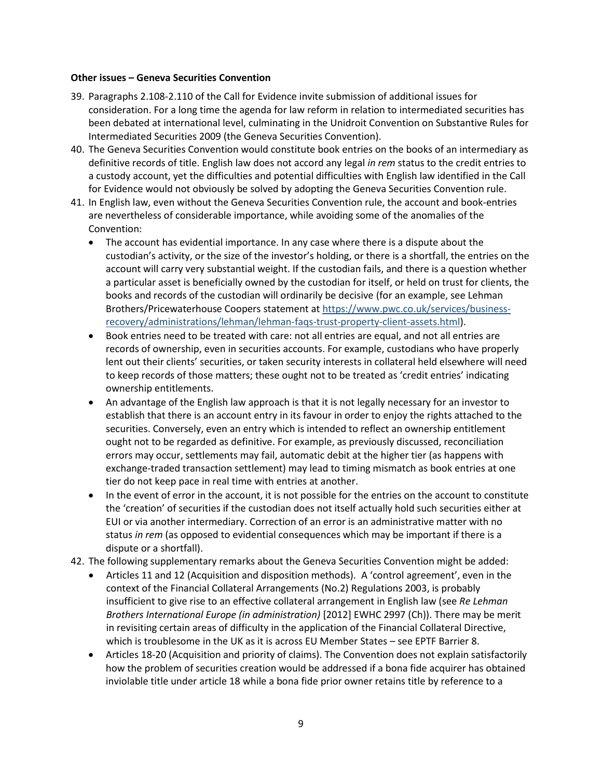#### **Other issues – Geneva Securities Convention**

- 39. Paragraphs 2.108-2.110 of the Call for Evidence invite submission of additional issues for consideration. For a long time the agenda for law reform in relation to intermediated securities has been debated at international level, culminating in the Unidroit Convention on Substantive Rules for Intermediated Securities 2009 (the Geneva Securities Convention).
- 40. The Geneva Securities Convention would constitute book entries on the books of an intermediary as definitive records of title. English law does not accord any legal *in rem* status to the credit entries to a custody account, yet the difficulties and potential difficulties with English law identified in the Call for Evidence would not obviously be solved by adopting the Geneva Securities Convention rule.
- 41. In English law, even without the Geneva Securities Convention rule, the account and book-entries are nevertheless of considerable importance, while avoiding some of the anomalies of the Convention:
	- The account has evidential importance. In any case where there is a dispute about the custodian's activity, or the size of the investor's holding, or there is a shortfall, the entries on the account will carry very substantial weight. If the custodian fails, and there is a question whether a particular asset is beneficially owned by the custodian for itself, or held on trust for clients, the books and records of the custodian will ordinarily be decisive (for an example, see Lehman Brothers/Pricewaterhouse Coopers statement at [https://www.pwc.co.uk/services/business](https://www.pwc.co.uk/services/business-recovery/administrations/lehman/lehman-faqs-trust-property-client-assets.html)[recovery/administrations/lehman/lehman-faqs-trust-property-client-assets.html\)](https://www.pwc.co.uk/services/business-recovery/administrations/lehman/lehman-faqs-trust-property-client-assets.html).
	- Book entries need to be treated with care: not all entries are equal, and not all entries are records of ownership, even in securities accounts. For example, custodians who have properly lent out their clients' securities, or taken security interests in collateral held elsewhere will need to keep records of those matters; these ought not to be treated as 'credit entries' indicating ownership entitlements.
	- An advantage of the English law approach is that it is not legally necessary for an investor to establish that there is an account entry in its favour in order to enjoy the rights attached to the securities. Conversely, even an entry which is intended to reflect an ownership entitlement ought not to be regarded as definitive. For example, as previously discussed, reconciliation errors may occur, settlements may fail, automatic debit at the higher tier (as happens with exchange-traded transaction settlement) may lead to timing mismatch as book entries at one tier do not keep pace in real time with entries at another.
	- In the event of error in the account, it is not possible for the entries on the account to constitute the 'creation' of securities if the custodian does not itself actually hold such securities either at EUI or via another intermediary. Correction of an error is an administrative matter with no status *in rem* (as opposed to evidential consequences which may be important if there is a dispute or a shortfall).
- 42. The following supplementary remarks about the Geneva Securities Convention might be added:
	- Articles 11 and 12 (Acquisition and disposition methods). A 'control agreement', even in the context of the Financial Collateral Arrangements (No.2) Regulations 2003, is probably insufficient to give rise to an effective collateral arrangement in English law (see *Re Lehman Brothers International Europe (in administration)* [2012] EWHC 2997 (Ch)). There may be merit in revisiting certain areas of difficulty in the application of the Financial Collateral Directive, which is troublesome in the UK as it is across EU Member States – see EPTF Barrier 8.
	- Articles 18-20 (Acquisition and priority of claims). The Convention does not explain satisfactorily how the problem of securities creation would be addressed if a bona fide acquirer has obtained inviolable title under article 18 while a bona fide prior owner retains title by reference to a